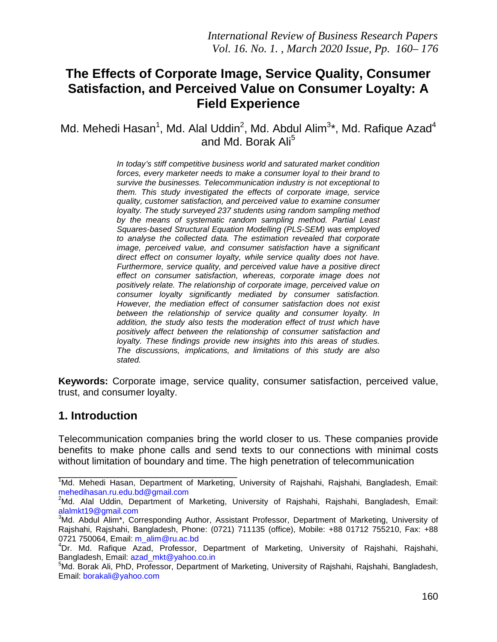# **The Effects of Corporate Image, Service Quality, Consumer Satisfaction, and Perceived Value on Consumer Loyalty: A Field Experience**

Md. Mehedi Hasan<sup>1</sup>, Md. Alal Uddin<sup>2</sup>, Md. Abdul Alim<sup>3\*</sup>, Md. Rafique Azad<sup>4</sup> and Md. Borak Ali<sup>5</sup>

> *In today's stiff competitive business world and saturated market condition forces, every marketer needs to make a consumer loyal to their brand to survive the businesses. Telecommunication industry is not exceptional to them. This study investigated the effects of corporate image, service quality, customer satisfaction, and perceived value to examine consumer loyalty. The study surveyed 237 students using random sampling method by the means of systematic random sampling method. Partial Least Squares-based Structural Equation Modelling (PLS-SEM) was employed to analyse the collected data. The estimation revealed that corporate image, perceived value, and consumer satisfaction have a significant direct effect on consumer loyalty, while service quality does not have. Furthermore, service quality, and perceived value have a positive direct effect on consumer satisfaction, whereas, corporate image does not positively relate. The relationship of corporate image, perceived value on consumer loyalty significantly mediated by consumer satisfaction. However, the mediation effect of consumer satisfaction does not exist between the relationship of service quality and consumer loyalty. In addition, the study also tests the moderation effect of trust which have positively affect between the relationship of consumer satisfaction and loyalty. These findings provide new insights into this areas of studies. The discussions, implications, and limitations of this study are also stated.*

**Keywords:** Corporate image, service quality, consumer satisfaction, perceived value, trust, and consumer loyalty.

## **1. Introduction**

Telecommunication companies bring the world closer to us. These companies provide benefits to make phone calls and send texts to our connections with minimal costs without limitation of boundary and time. The high penetration of telecommunication

<sup>&</sup>lt;u>.</u><br><sup>1</sup>Md. Mehedi Hasan, Department of Marketing, University of Rajshahi, Rajshahi, Bangladesh, Email: [mehedihasan.ru.edu.bd@gmail.com](mailto:mehedihasan.ru.edu.bd@gmail.com)

<sup>&</sup>lt;sup>2</sup>Md. Alal Uddin, Department of Marketing, University of Rajshahi, Rajshahi, Bangladesh, Email: [alalmkt19@gmail.com](mailto:alalmkt19@gmail.com)

<sup>&</sup>lt;sup>3</sup>Md. Abdul Alim\*, Corresponding Author, Assistant Professor, Department of Marketing, University of Rajshahi, Rajshahi, Bangladesh, Phone: (0721) 711135 (office), Mobile: +88 01712 755210, Fax: +88 0721 750064, Email: [m\\_alim@ru.ac.bd](mailto:m_alim@ru.ac.bd)

<sup>4</sup> Dr. Md. Rafique Azad, Professor, Department of Marketing, University of Rajshahi, Rajshahi, Bangladesh, Email: [azad\\_mkt@yahoo.co.in](mailto:azad_mkt@yahoo.co.in) <sup>5</sup>

<sup>&</sup>lt;sup>5</sup>Md. Borak Ali, PhD, Professor, Department of Marketing, University of Rajshahi, Rajshahi, Bangladesh, Email: [borakali@yahoo.com](mailto:borakali@yahoo.com)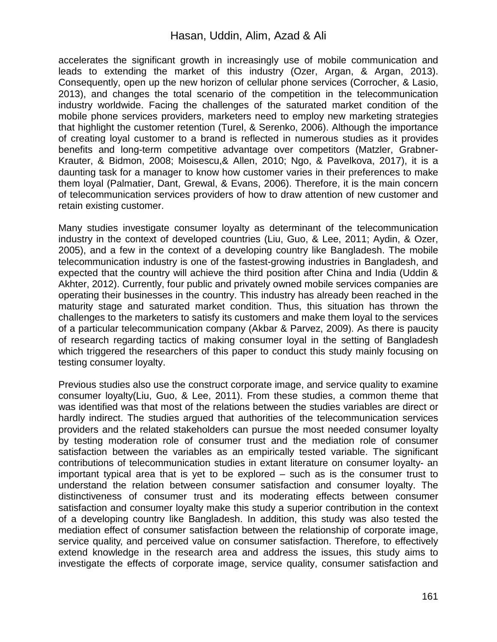### Hasan, Uddin, Alim, Azad & Ali

accelerates the significant growth in increasingly use of mobile communication and leads to extending the market of this industry (Ozer, Argan, & Argan, 2013). Consequently, open up the new horizon of cellular phone services (Corrocher, & Lasio, 2013), and changes the total scenario of the competition in the telecommunication industry worldwide. Facing the challenges of the saturated market condition of the mobile phone services providers, marketers need to employ new marketing strategies that highlight the customer retention (Turel, & Serenko, 2006). Although the importance of creating loyal customer to a brand is reflected in numerous studies as it provides benefits and long-term competitive advantage over competitors (Matzler, Grabner-Krauter, & Bidmon, 2008; Moisescu,& Allen, 2010; Ngo, & Pavelkova, 2017), it is a daunting task for a manager to know how customer varies in their preferences to make them loyal (Palmatier, Dant, Grewal, & Evans, 2006). Therefore, it is the main concern of telecommunication services providers of how to draw attention of new customer and retain existing customer.

Many studies investigate consumer loyalty as determinant of the telecommunication industry in the context of developed countries (Liu, Guo, & Lee, 2011; Aydin, & Ozer, 2005), and a few in the context of a developing country like Bangladesh. The mobile telecommunication industry is one of the fastest-growing industries in Bangladesh, and expected that the country will achieve the third position after China and India (Uddin & Akhter, 2012). Currently, four public and privately owned mobile services companies are operating their businesses in the country. This industry has already been reached in the maturity stage and saturated market condition. Thus, this situation has thrown the challenges to the marketers to satisfy its customers and make them loyal to the services of a particular telecommunication company (Akbar & Parvez, 2009). As there is paucity of research regarding tactics of making consumer loyal in the setting of Bangladesh which triggered the researchers of this paper to conduct this study mainly focusing on testing consumer loyalty.

Previous studies also use the construct corporate image, and service quality to examine consumer loyalty(Liu, Guo, & Lee, 2011). From these studies, a common theme that was identified was that most of the relations between the studies variables are direct or hardly indirect. The studies argued that authorities of the telecommunication services providers and the related stakeholders can pursue the most needed consumer loyalty by testing moderation role of consumer trust and the mediation role of consumer satisfaction between the variables as an empirically tested variable. The significant contributions of telecommunication studies in extant literature on consumer loyalty- an important typical area that is yet to be explored – such as is the consumer trust to understand the relation between consumer satisfaction and consumer loyalty. The distinctiveness of consumer trust and its moderating effects between consumer satisfaction and consumer loyalty make this study a superior contribution in the context of a developing country like Bangladesh. In addition, this study was also tested the mediation effect of consumer satisfaction between the relationship of corporate image, service quality, and perceived value on consumer satisfaction. Therefore, to effectively extend knowledge in the research area and address the issues, this study aims to investigate the effects of corporate image, service quality, consumer satisfaction and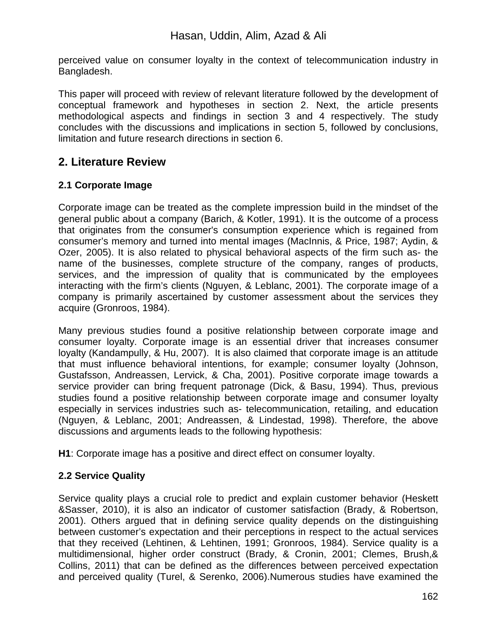perceived value on consumer loyalty in the context of telecommunication industry in Bangladesh.

This paper will proceed with review of relevant literature followed by the development of conceptual framework and hypotheses in section 2. Next, the article presents methodological aspects and findings in section 3 and 4 respectively. The study concludes with the discussions and implications in section 5, followed by conclusions, limitation and future research directions in section 6.

# **2. Literature Review**

## **2.1 Corporate Image**

Corporate image can be treated as the complete impression build in the mindset of the general public about a company (Barich, & Kotler, 1991). It is the outcome of a process that originates from the consumer's consumption experience which is regained from consumer's memory and turned into mental images (MacInnis, & Price, 1987; Aydin, & Ozer, 2005). It is also related to physical behavioral aspects of the firm such as- the name of the businesses, complete structure of the company, ranges of products, services, and the impression of quality that is communicated by the employees interacting with the firm's clients (Nguyen, & Leblanc, 2001). The corporate image of a company is primarily ascertained by customer assessment about the services they acquire (Gronroos, 1984).

Many previous studies found a positive relationship between corporate image and consumer loyalty. Corporate image is an essential driver that increases consumer loyalty (Kandampully, & Hu, 2007). It is also claimed that corporate image is an attitude that must influence behavioral intentions, for example; consumer loyalty (Johnson, Gustafsson, Andreassen, Lervick, & Cha, 2001). Positive corporate image towards a service provider can bring frequent patronage (Dick, & Basu, 1994). Thus, previous studies found a positive relationship between corporate image and consumer loyalty especially in services industries such as- telecommunication, retailing, and education (Nguyen, & Leblanc, 2001; Andreassen, & Lindestad, 1998). Therefore, the above discussions and arguments leads to the following hypothesis:

**H1**: Corporate image has a positive and direct effect on consumer loyalty.

## **2.2 Service Quality**

Service quality plays a crucial role to predict and explain customer behavior (Heskett &Sasser, 2010), it is also an indicator of customer satisfaction (Brady, & Robertson, 2001). Others argued that in defining service quality depends on the distinguishing between customer's expectation and their perceptions in respect to the actual services that they received (Lehtinen, & Lehtinen, 1991; Gronroos, 1984). Service quality is a multidimensional, higher order construct (Brady, & Cronin, 2001; Clemes, Brush,& Collins, 2011) that can be defined as the differences between perceived expectation and perceived quality (Turel, & Serenko, 2006).Numerous studies have examined the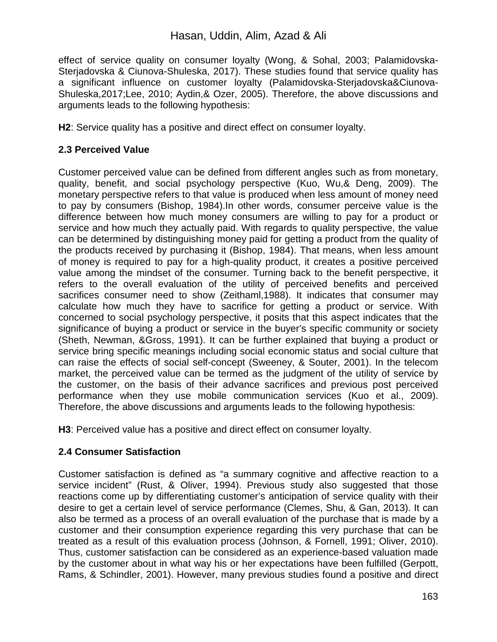effect of service quality on consumer loyalty (Wong, & Sohal, 2003; Palamidovska-Sterjadovska & Ciunova-Shuleska, 2017). These studies found that service quality has a significant influence on customer loyalty (Palamidovska-Sterjadovska&Ciunova-Shuleska,2017;Lee, 2010; Aydin,& Ozer, 2005). Therefore, the above discussions and arguments leads to the following hypothesis:

**H2**: Service quality has a positive and direct effect on consumer loyalty.

### **2.3 Perceived Value**

Customer perceived value can be defined from different angles such as from monetary, quality, benefit, and social psychology perspective (Kuo, Wu,& Deng, 2009). The monetary perspective refers to that value is produced when less amount of money need to pay by consumers (Bishop, 1984).In other words, consumer perceive value is the difference between how much money consumers are willing to pay for a product or service and how much they actually paid. With regards to quality perspective, the value can be determined by distinguishing money paid for getting a product from the quality of the products received by purchasing it (Bishop, 1984). That means, when less amount of money is required to pay for a high-quality product, it creates a positive perceived value among the mindset of the consumer. Turning back to the benefit perspective, it refers to the overall evaluation of the utility of perceived benefits and perceived sacrifices consumer need to show (Zeithaml,1988). It indicates that consumer may calculate how much they have to sacrifice for getting a product or service. With concerned to social psychology perspective, it posits that this aspect indicates that the significance of buying a product or service in the buyer's specific community or society (Sheth, Newman, &Gross, 1991). It can be further explained that buying a product or service bring specific meanings including social economic status and social culture that can raise the effects of social self-concept (Sweeney, & Souter, 2001). In the telecom market, the perceived value can be termed as the judgment of the utility of service by the customer, on the basis of their advance sacrifices and previous post perceived performance when they use mobile communication services (Kuo et al., 2009). Therefore, the above discussions and arguments leads to the following hypothesis:

**H3**: Perceived value has a positive and direct effect on consumer loyalty.

#### **2.4 Consumer Satisfaction**

Customer satisfaction is defined as "a summary cognitive and affective reaction to a service incident" (Rust, & Oliver, 1994). Previous study also suggested that those reactions come up by differentiating customer's anticipation of service quality with their desire to get a certain level of service performance (Clemes, Shu, & Gan, 2013). It can also be termed as a process of an overall evaluation of the purchase that is made by a customer and their consumption experience regarding this very purchase that can be treated as a result of this evaluation process (Johnson, & Fornell, 1991; Oliver, 2010). Thus, customer satisfaction can be considered as an experience-based valuation made by the customer about in what way his or her expectations have been fulfilled (Gerpott, Rams, & Schindler, 2001). However, many previous studies found a positive and direct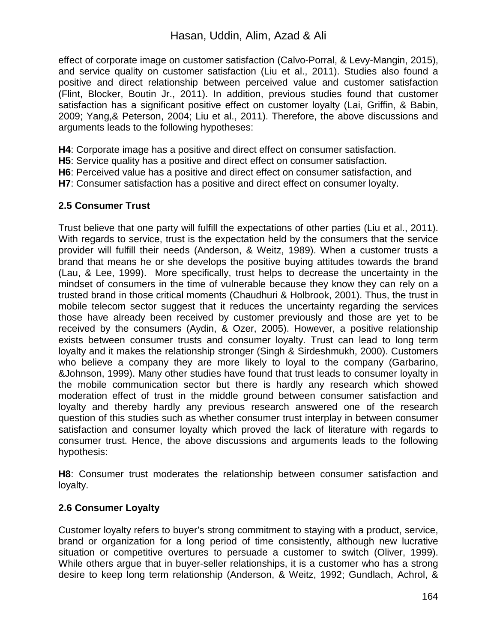effect of corporate image on customer satisfaction (Calvo-Porral, & Levy-Mangin, 2015), and service quality on customer satisfaction (Liu et al., 2011). Studies also found a positive and direct relationship between perceived value and customer satisfaction (Flint, Blocker, Boutin Jr., 2011). In addition, previous studies found that customer satisfaction has a significant positive effect on customer loyalty (Lai, Griffin, & Babin, 2009; Yang,& Peterson, 2004; Liu et al., 2011). Therefore, the above discussions and arguments leads to the following hypotheses:

**H4**: Corporate image has a positive and direct effect on consumer satisfaction.

**H5**: Service quality has a positive and direct effect on consumer satisfaction.

**H6**: Perceived value has a positive and direct effect on consumer satisfaction, and

**H7**: Consumer satisfaction has a positive and direct effect on consumer loyalty.

## **2.5 Consumer Trust**

Trust believe that one party will fulfill the expectations of other parties (Liu et al., 2011). With regards to service, trust is the expectation held by the consumers that the service provider will fulfill their needs (Anderson, & Weitz, 1989). When a customer trusts a brand that means he or she develops the positive buying attitudes towards the brand (Lau, & Lee, 1999). More specifically, trust helps to decrease the uncertainty in the mindset of consumers in the time of vulnerable because they know they can rely on a trusted brand in those critical moments (Chaudhuri & Holbrook, 2001). Thus, the trust in mobile telecom sector suggest that it reduces the uncertainty regarding the services those have already been received by customer previously and those are yet to be received by the consumers (Aydin, & Ozer, 2005). However, a positive relationship exists between consumer trusts and consumer loyalty. Trust can lead to long term loyalty and it makes the relationship stronger (Singh & Sirdeshmukh, 2000). Customers who believe a company they are more likely to loyal to the company (Garbarino, &Johnson, 1999). Many other studies have found that trust leads to consumer loyalty in the mobile communication sector but there is hardly any research which showed moderation effect of trust in the middle ground between consumer satisfaction and loyalty and thereby hardly any previous research answered one of the research question of this studies such as whether consumer trust interplay in between consumer satisfaction and consumer loyalty which proved the lack of literature with regards to consumer trust. Hence, the above discussions and arguments leads to the following hypothesis:

**H8**: Consumer trust moderates the relationship between consumer satisfaction and loyalty.

## **2.6 Consumer Loyalty**

Customer loyalty refers to buyer's strong commitment to staying with a product, service, brand or organization for a long period of time consistently, although new lucrative situation or competitive overtures to persuade a customer to switch (Oliver, 1999). While others argue that in buyer-seller relationships, it is a customer who has a strong desire to keep long term relationship (Anderson, & Weitz, 1992; Gundlach, Achrol, &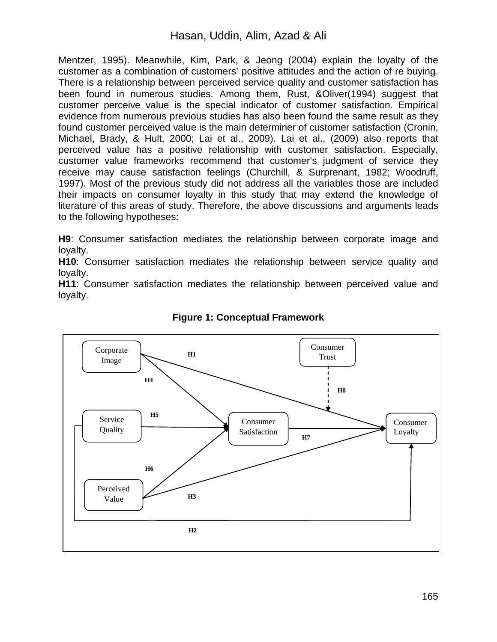## Hasan, Uddin, Alim, Azad & Ali

Mentzer, 1995). Meanwhile, Kim, Park, & Jeong (2004) explain the loyalty of the customer as a combination of customers' positive attitudes and the action of re buying. There is a relationship between perceived service quality and customer satisfaction has been found in numerous studies. Among them, Rust, &Oliver(1994) suggest that customer perceive value is the special indicator of customer satisfaction. Empirical evidence from numerous previous studies has also been found the same result as they found customer perceived value is the main determiner of customer satisfaction (Cronin, Michael, Brady, & Hult, 2000; Lai et al., 2009). Lai et al., (2009) also reports that perceived value has a positive relationship with customer satisfaction. Especially, customer value frameworks recommend that customer's judgment of service they receive may cause satisfaction feelings (Churchill, & Surprenant, 1982; Woodruff, 1997). Most of the previous study did not address all the variables those are included their impacts on consumer loyalty in this study that may extend the knowledge of literature of this areas of study. Therefore, the above discussions and arguments leads to the following hypotheses:

**H9**: Consumer satisfaction mediates the relationship between corporate image and loyalty.

**H10**: Consumer satisfaction mediates the relationship between service quality and loyalty.

**H11**: Consumer satisfaction mediates the relationship between perceived value and loyalty.



#### **Figure 1: Conceptual Framework**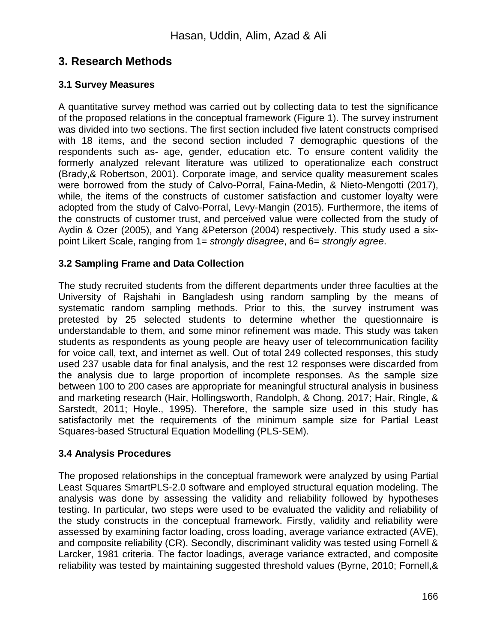# **3. Research Methods**

### **3.1 Survey Measures**

A quantitative survey method was carried out by collecting data to test the significance of the proposed relations in the conceptual framework (Figure 1). The survey instrument was divided into two sections. The first section included five latent constructs comprised with 18 items, and the second section included 7 demographic questions of the respondents such as- age, gender, education etc. To ensure content validity the formerly analyzed relevant literature was utilized to operationalize each construct (Brady,& Robertson, 2001). Corporate image, and service quality measurement scales were borrowed from the study of Calvo-Porral, Faina-Medin, & Nieto-Mengotti (2017), while, the items of the constructs of customer satisfaction and customer loyalty were adopted from the study of Calvo-Porral, Levy-Mangin (2015). Furthermore, the items of the constructs of customer trust, and perceived value were collected from the study of Aydin & Ozer (2005), and Yang &Peterson (2004) respectively. This study used a sixpoint Likert Scale, ranging from 1= *strongly disagree*, and 6= *strongly agree*.

### **3.2 Sampling Frame and Data Collection**

The study recruited students from the different departments under three faculties at the University of Rajshahi in Bangladesh using random sampling by the means of systematic random sampling methods. Prior to this, the survey instrument was pretested by 25 selected students to determine whether the questionnaire is understandable to them, and some minor refinement was made. This study was taken students as respondents as young people are heavy user of telecommunication facility for voice call, text, and internet as well. Out of total 249 collected responses, this study used 237 usable data for final analysis, and the rest 12 responses were discarded from the analysis due to large proportion of incomplete responses. As the sample size between 100 to 200 cases are appropriate for meaningful structural analysis in business and marketing research (Hair, Hollingsworth, Randolph, & Chong, 2017; Hair, Ringle, & Sarstedt, 2011; Hoyle., 1995). Therefore, the sample size used in this study has satisfactorily met the requirements of the minimum sample size for Partial Least Squares-based Structural Equation Modelling (PLS-SEM).

#### **3.4 Analysis Procedures**

The proposed relationships in the conceptual framework were analyzed by using Partial Least Squares SmartPLS-2.0 software and employed structural equation modeling. The analysis was done by assessing the validity and reliability followed by hypotheses testing. In particular, two steps were used to be evaluated the validity and reliability of the study constructs in the conceptual framework. Firstly, validity and reliability were assessed by examining factor loading, cross loading, average variance extracted (AVE), and composite reliability (CR). Secondly, discriminant validity was tested using Fornell & Larcker, 1981 criteria. The factor loadings, average variance extracted, and composite reliability was tested by maintaining suggested threshold values (Byrne, 2010; Fornell,&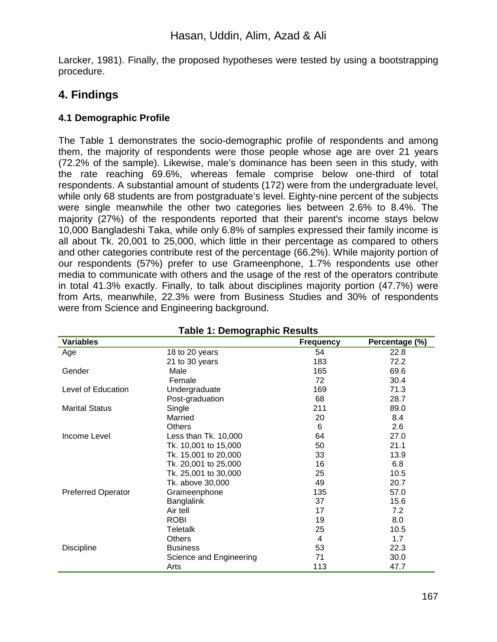Larcker, 1981). Finally, the proposed hypotheses were tested by using a bootstrapping procedure.

# **4. Findings**

### **4.1 Demographic Profile**

The Table 1 demonstrates the socio-demographic profile of respondents and among them, the majority of respondents were those people whose age are over 21 years (72.2% of the sample). Likewise, male's dominance has been seen in this study, with the rate reaching 69.6%, whereas female comprise below one-third of total respondents. A substantial amount of students (172) were from the undergraduate level, while only 68 students are from postgraduate's level. Eighty-nine percent of the subjects were single meanwhile the other two categories lies between 2.6% to 8.4%. The majority (27%) of the respondents reported that their parent's income stays below 10,000 Bangladeshi Taka, while only 6.8% of samples expressed their family income is all about Tk. 20,001 to 25,000, which little in their percentage as compared to others and other categories contribute rest of the percentage (66.2%). While majority portion of our respondents (57%) prefer to use Grameenphone, 1.7% respondents use other media to communicate with others and the usage of the rest of the operators contribute in total 41.3% exactly. Finally, to talk about disciplines majority portion (47.7%) were from Arts, meanwhile, 22.3% were from Business Studies and 30% of respondents were from Science and Engineering background.

| <b>Table 1: Demographic Results</b> |                         |                  |                |  |  |
|-------------------------------------|-------------------------|------------------|----------------|--|--|
| <b>Variables</b>                    |                         | <b>Frequency</b> | Percentage (%) |  |  |
| Age                                 | 18 to 20 years          | 54               | 22.8           |  |  |
|                                     | 21 to 30 years          | 183              | 72.2           |  |  |
| Gender                              | Male                    | 165              | 69.6           |  |  |
|                                     | Female                  | 72               | 30.4           |  |  |
| Level of Education                  | Undergraduate           | 169              | 71.3           |  |  |
|                                     | Post-graduation         | 68               | 28.7           |  |  |
| <b>Marital Status</b>               | Single                  | 211              | 89.0           |  |  |
|                                     | Married                 | 20               | 8.4            |  |  |
|                                     | <b>Others</b>           | 6                | 2.6            |  |  |
| Income Level                        | Less than Tk. 10,000    | 64               | 27.0           |  |  |
|                                     | Tk. 10,001 to 15,000    | 50               | 21.1           |  |  |
|                                     | Tk. 15,001 to 20,000    | 33               | 13.9           |  |  |
|                                     | Tk. 20,001 to 25,000    | 16               | 6.8            |  |  |
|                                     | Tk. 25,001 to 30,000    | 25               | 10.5           |  |  |
|                                     | Tk. above 30,000        | 49               | 20.7           |  |  |
| <b>Preferred Operator</b>           | Grameenphone            | 135              | 57.0           |  |  |
|                                     | Banglalink              | 37               | 15.6           |  |  |
|                                     | Air tell                | 17               | 7.2            |  |  |
|                                     | <b>ROBI</b>             | 19               | 8.0            |  |  |
|                                     | <b>Teletalk</b>         | 25               | 10.5           |  |  |
|                                     | Others                  | 4                | 1.7            |  |  |
| <b>Discipline</b>                   | <b>Business</b>         | 53               | 22.3           |  |  |
|                                     | Science and Engineering | 71               | 30.0           |  |  |
|                                     | Arts                    | 113              | 47.7           |  |  |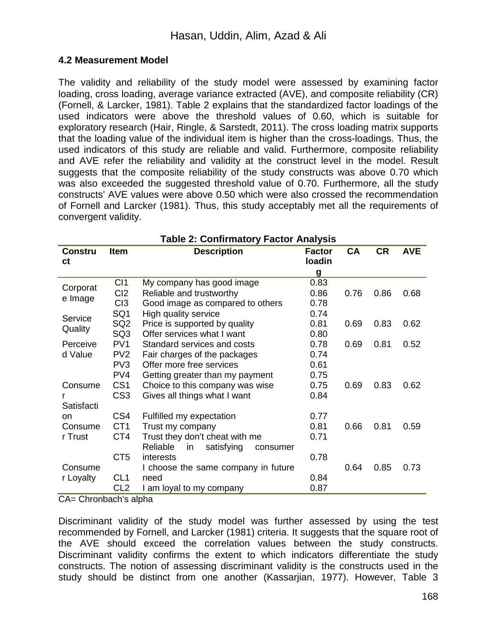#### **4.2 Measurement Model**

The validity and reliability of the study model were assessed by examining factor loading, cross loading, average variance extracted (AVE), and composite reliability (CR) (Fornell, & Larcker, 1981). Table 2 explains that the standardized factor loadings of the used indicators were above the threshold values of 0.60, which is suitable for exploratory research (Hair, Ringle, & Sarstedt, 2011). The cross loading matrix supports that the loading value of the individual item is higher than the cross-loadings. Thus, the used indicators of this study are reliable and valid. Furthermore, composite reliability and AVE refer the reliability and validity at the construct level in the model. Result suggests that the composite reliability of the study constructs was above 0.70 which was also exceeded the suggested threshold value of 0.70. Furthermore, all the study constructs' AVE values were above 0.50 which were also crossed the recommendation of Fornell and Larcker (1981). Thus, this study acceptably met all the requirements of convergent validity.

| <b>Table 2: Confirmatory Factor Analysis</b> |                 |                                          |               |           |           |            |
|----------------------------------------------|-----------------|------------------------------------------|---------------|-----------|-----------|------------|
| <b>Constru</b>                               | <b>Item</b>     | <b>Description</b>                       | <b>Factor</b> | <b>CA</b> | <b>CR</b> | <b>AVE</b> |
| сt                                           |                 |                                          | loadin        |           |           |            |
|                                              |                 |                                          | g             |           |           |            |
| Corporat                                     | CI1             | My company has good image                | 0.83          |           |           |            |
| e Image                                      | CI2             | Reliable and trustworthy                 | 0.86          | 0.76      | 0.86      | 0.68       |
|                                              | C13             | Good image as compared to others         | 0.78          |           |           |            |
| Service                                      | SQ1             | High quality service                     | 0.74          |           |           |            |
|                                              | SQ <sub>2</sub> | Price is supported by quality            | 0.81          | 0.69      | 0.83      | 0.62       |
| Quality                                      | SQ <sub>3</sub> | Offer services what I want               | 0.80          |           |           |            |
| Perceive                                     | PV <sub>1</sub> | Standard services and costs              | 0.78          | 0.69      | 0.81      | 0.52       |
| d Value                                      | PV <sub>2</sub> | Fair charges of the packages             | 0.74          |           |           |            |
|                                              | PV <sub>3</sub> | Offer more free services                 | 0.61          |           |           |            |
|                                              | PV <sub>4</sub> | Getting greater than my payment          | 0.75          |           |           |            |
| Consume                                      | CS <sub>1</sub> | Choice to this company was wise          | 0.75          | 0.69      | 0.83      | 0.62       |
|                                              | CS <sub>3</sub> | Gives all things what I want             | 0.84          |           |           |            |
| Satisfacti                                   |                 |                                          |               |           |           |            |
| on                                           | CS4             | Fulfilled my expectation                 | 0.77          |           |           |            |
| Consume                                      | CT <sub>1</sub> | Trust my company                         | 0.81          | 0.66      | 0.81      | 0.59       |
| r Trust                                      | CT4             | Trust they don't cheat with me           | 0.71          |           |           |            |
|                                              |                 | Reliable<br>satisfying<br>in<br>consumer |               |           |           |            |
|                                              | CT <sub>5</sub> | interests                                | 0.78          |           |           |            |
| Consume                                      |                 | I choose the same company in future      |               | 0.64      | 0.85      | 0.73       |
| r Loyalty                                    | CL <sub>1</sub> | need                                     | 0.84          |           |           |            |
|                                              | CL <sub>2</sub> | I am loyal to my company                 | 0.87          |           |           |            |

CA= Chronbach's alpha

Discriminant validity of the study model was further assessed by using the test recommended by Fornell, and Larcker (1981) criteria. It suggests that the square root of the AVE should exceed the correlation values between the study constructs. Discriminant validity confirms the extent to which indicators differentiate the study constructs. The notion of assessing discriminant validity is the constructs used in the study should be distinct from one another (Kassarjian, 1977). However, Table 3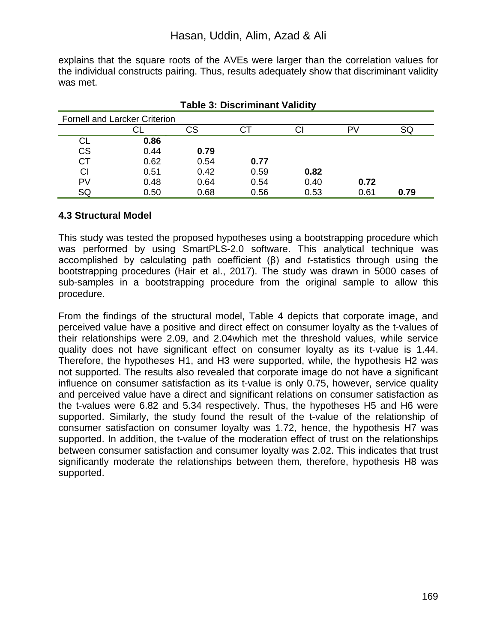explains that the square roots of the AVEs were larger than the correlation values for the individual constructs pairing. Thus, results adequately show that discriminant validity was met.

| <b>Fornell and Larcker Criterion</b> |      |      |      |      |      |      |
|--------------------------------------|------|------|------|------|------|------|
|                                      |      | СS   | U    | Cl   | P١   | שכ   |
| CL                                   | 0.86 |      |      |      |      |      |
| <b>CS</b>                            | 0.44 | 0.79 |      |      |      |      |
| <b>CT</b>                            | 0.62 | 0.54 | 0.77 |      |      |      |
| <b>CI</b>                            | 0.51 | 0.42 | 0.59 | 0.82 |      |      |
| PV                                   | 0.48 | 0.64 | 0.54 | 0.40 | 0.72 |      |
| SQ                                   | 0.50 | 0.68 | 0.56 | 0.53 | 0.61 | 0.79 |

| <b>Table 3: Discriminant Validity</b> |  |
|---------------------------------------|--|
|---------------------------------------|--|

#### **4.3 Structural Model**

This study was tested the proposed hypotheses using a bootstrapping procedure which was performed by using SmartPLS-2.0 software. This analytical technique was accomplished by calculating path coefficient (β) and *t*-statistics through using the bootstrapping procedures (Hair et al., 2017). The study was drawn in 5000 cases of sub-samples in a bootstrapping procedure from the original sample to allow this procedure.

From the findings of the structural model, Table 4 depicts that corporate image, and perceived value have a positive and direct effect on consumer loyalty as the t-values of their relationships were 2.09, and 2.04which met the threshold values, while service quality does not have significant effect on consumer loyalty as its t-value is 1.44. Therefore, the hypotheses H1, and H3 were supported, while, the hypothesis H2 was not supported. The results also revealed that corporate image do not have a significant influence on consumer satisfaction as its t-value is only 0.75, however, service quality and perceived value have a direct and significant relations on consumer satisfaction as the t-values were 6.82 and 5.34 respectively. Thus, the hypotheses H5 and H6 were supported. Similarly, the study found the result of the t-value of the relationship of consumer satisfaction on consumer loyalty was 1.72, hence, the hypothesis H7 was supported. In addition, the t-value of the moderation effect of trust on the relationships between consumer satisfaction and consumer loyalty was 2.02. This indicates that trust significantly moderate the relationships between them, therefore, hypothesis H8 was supported.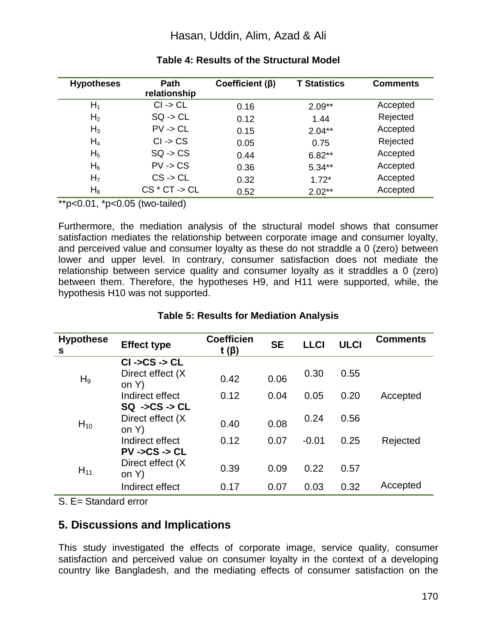## Hasan, Uddin, Alim, Azad & Ali

| <b>Hypotheses</b> | <b>Path</b><br>relationship | Coefficient $(\beta)$ | <b>T Statistics</b> | <b>Comments</b> |
|-------------------|-----------------------------|-----------------------|---------------------|-----------------|
| $H_1$             | $Cl \rightarrow CL$         | 0.16                  | $2.09**$            | Accepted        |
| H <sub>2</sub>    | $SQ \rightarrow CL$         | 0.12                  | 1.44                | Rejected        |
| $H_3$             | $PV \rightarrow CL$         | 0.15                  | $2.04**$            | Accepted        |
| $H_4$             | $Cl \rightarrow CS$         | 0.05                  | 0.75                | Rejected        |
| H <sub>5</sub>    | $SQ \rightarrow CS$         | 0.44                  | $6.82**$            | Accepted        |
| $H_6$             | $PV \rightarrow CS$         | 0.36                  | $5.34**$            | Accepted        |
| H <sub>7</sub>    | $CS \rightarrow CL$         | 0.32                  | $1.72*$             | Accepted        |
| $H_8$             | $CS * CT - > CL$            | 0.52                  | $2.02**$            | Accepted        |

#### **Table 4: Results of the Structural Model**

\*\*p<0.01, \*p<0.05 (two-tailed)

Furthermore, the mediation analysis of the structural model shows that consumer satisfaction mediates the relationship between corporate image and consumer loyalty, and perceived value and consumer loyalty as these do not straddle a 0 (zero) between lower and upper level. In contrary, consumer satisfaction does not mediate the relationship between service quality and consumer loyalty as it straddles a 0 (zero) between them. Therefore, the hypotheses H9, and H11 were supported, while, the hypothesis H10 was not supported.

| <b>Hypothese</b><br>s | <b>Effect type</b>                                    | <b>Coefficien</b><br>t $(\beta)$ | <b>SE</b> | <b>LLCI</b> | <b>ULCI</b> | <b>Comments</b> |
|-----------------------|-------------------------------------------------------|----------------------------------|-----------|-------------|-------------|-----------------|
| $H_9$                 | $CI -SCS - CCL$<br>Direct effect (X)<br>on Y)         | 0.42                             | 0.06      | 0.30        | 0.55        |                 |
|                       | Indirect effect<br>$SQ \rightarrow CS \rightarrow CL$ | 0.12                             | 0.04      | 0.05        | 0.20        | Accepted        |
| $H_{10}$<br>$H_{11}$  | Direct effect (X)<br>on $Y$ )                         | 0.40                             | 0.08      | 0.24        | 0.56        |                 |
|                       | Indirect effect<br>$PV -SCS - CL$                     | 0.12                             | 0.07      | $-0.01$     | 0.25        | Rejected        |
|                       | Direct effect (X)<br>on Y)                            | 0.39                             | 0.09      | 0.22        | 0.57        |                 |
|                       | Indirect effect                                       | 0.17                             | 0.07      | 0.03        | 0.32        | Accepted        |

#### **Table 5: Results for Mediation Analysis**

S. E= Standard error

## **5. Discussions and Implications**

This study investigated the effects of corporate image, service quality, consumer satisfaction and perceived value on consumer loyalty in the context of a developing country like Bangladesh, and the mediating effects of consumer satisfaction on the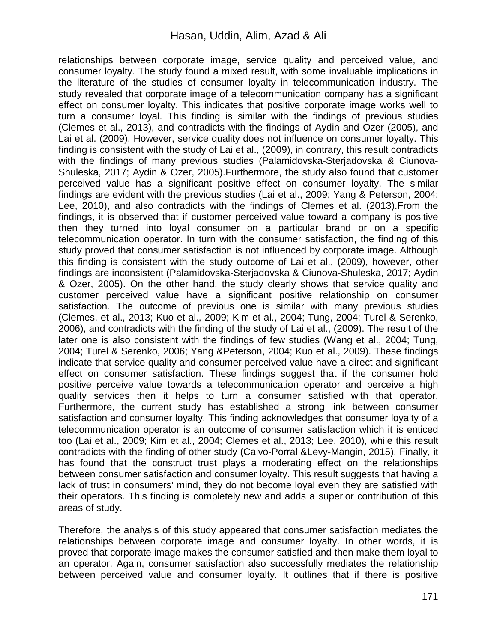relationships between corporate image, service quality and perceived value, and consumer loyalty. The study found a mixed result, with some invaluable implications in the literature of the studies of consumer loyalty in telecommunication industry. The study revealed that corporate image of a telecommunication company has a significant effect on consumer loyalty. This indicates that positive corporate image works well to turn a consumer loyal. This finding is similar with the findings of previous studies (Clemes et al., 2013), and contradicts with the findings of Aydin and Ozer (2005), and Lai et al. (2009). However, service quality does not influence on consumer loyalty. This finding is consistent with the study of Lai et al., (2009), in contrary, this result contradicts with the findings of many previous studies (Palamidovska-Sterjadovska *&* Ciunova-Shuleska, 2017; Aydin & Ozer, 2005).Furthermore, the study also found that customer perceived value has a significant positive effect on consumer loyalty. The similar findings are evident with the previous studies (Lai et al., 2009; Yang & Peterson, 2004; Lee, 2010), and also contradicts with the findings of Clemes et al. (2013).From the findings, it is observed that if customer perceived value toward a company is positive then they turned into loyal consumer on a particular brand or on a specific telecommunication operator. In turn with the consumer satisfaction, the finding of this study proved that consumer satisfaction is not influenced by corporate image. Although this finding is consistent with the study outcome of Lai et al., (2009), however, other findings are inconsistent (Palamidovska-Sterjadovska & Ciunova-Shuleska, 2017; Aydin & Ozer, 2005). On the other hand, the study clearly shows that service quality and customer perceived value have a significant positive relationship on consumer satisfaction. The outcome of previous one is similar with many previous studies (Clemes, et al., 2013; Kuo et al., 2009; Kim et al., 2004; Tung, 2004; Turel & Serenko, 2006), and contradicts with the finding of the study of Lai et al., (2009). The result of the later one is also consistent with the findings of few studies (Wang et al., 2004; Tung, 2004; Turel & Serenko, 2006; Yang &Peterson, 2004; Kuo et al., 2009). These findings indicate that service quality and consumer perceived value have a direct and significant effect on consumer satisfaction. These findings suggest that if the consumer hold positive perceive value towards a telecommunication operator and perceive a high quality services then it helps to turn a consumer satisfied with that operator. Furthermore, the current study has established a strong link between consumer satisfaction and consumer loyalty. This finding acknowledges that consumer loyalty of a telecommunication operator is an outcome of consumer satisfaction which it is enticed too (Lai et al., 2009; Kim et al., 2004; Clemes et al., 2013; Lee, 2010), while this result contradicts with the finding of other study (Calvo-Porral &Levy-Mangin, 2015). Finally, it has found that the construct trust plays a moderating effect on the relationships between consumer satisfaction and consumer loyalty. This result suggests that having a lack of trust in consumers' mind, they do not become loyal even they are satisfied with their operators. This finding is completely new and adds a superior contribution of this areas of study.

Therefore, the analysis of this study appeared that consumer satisfaction mediates the relationships between corporate image and consumer loyalty. In other words, it is proved that corporate image makes the consumer satisfied and then make them loyal to an operator. Again, consumer satisfaction also successfully mediates the relationship between perceived value and consumer loyalty. It outlines that if there is positive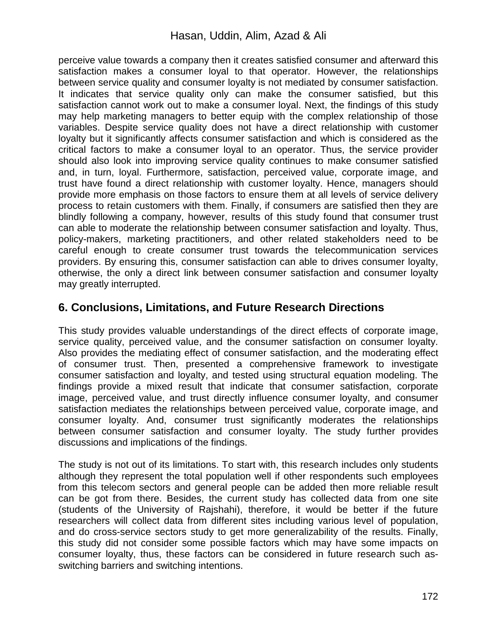perceive value towards a company then it creates satisfied consumer and afterward this satisfaction makes a consumer loyal to that operator. However, the relationships between service quality and consumer loyalty is not mediated by consumer satisfaction. It indicates that service quality only can make the consumer satisfied, but this satisfaction cannot work out to make a consumer loyal. Next, the findings of this study may help marketing managers to better equip with the complex relationship of those variables. Despite service quality does not have a direct relationship with customer loyalty but it significantly affects consumer satisfaction and which is considered as the critical factors to make a consumer loyal to an operator. Thus, the service provider should also look into improving service quality continues to make consumer satisfied and, in turn, loyal. Furthermore, satisfaction, perceived value, corporate image, and trust have found a direct relationship with customer loyalty. Hence, managers should provide more emphasis on those factors to ensure them at all levels of service delivery process to retain customers with them. Finally, if consumers are satisfied then they are blindly following a company, however, results of this study found that consumer trust can able to moderate the relationship between consumer satisfaction and loyalty. Thus, policy-makers, marketing practitioners, and other related stakeholders need to be careful enough to create consumer trust towards the telecommunication services providers. By ensuring this, consumer satisfaction can able to drives consumer loyalty, otherwise, the only a direct link between consumer satisfaction and consumer loyalty may greatly interrupted.

# **6. Conclusions, Limitations, and Future Research Directions**

This study provides valuable understandings of the direct effects of corporate image, service quality, perceived value, and the consumer satisfaction on consumer loyalty. Also provides the mediating effect of consumer satisfaction, and the moderating effect of consumer trust. Then, presented a comprehensive framework to investigate consumer satisfaction and loyalty, and tested using structural equation modeling. The findings provide a mixed result that indicate that consumer satisfaction, corporate image, perceived value, and trust directly influence consumer loyalty, and consumer satisfaction mediates the relationships between perceived value, corporate image, and consumer loyalty. And, consumer trust significantly moderates the relationships between consumer satisfaction and consumer loyalty. The study further provides discussions and implications of the findings.

The study is not out of its limitations. To start with, this research includes only students although they represent the total population well if other respondents such employees from this telecom sectors and general people can be added then more reliable result can be got from there. Besides, the current study has collected data from one site (students of the University of Rajshahi), therefore, it would be better if the future researchers will collect data from different sites including various level of population, and do cross-service sectors study to get more generalizability of the results. Finally, this study did not consider some possible factors which may have some impacts on consumer loyalty, thus, these factors can be considered in future research such asswitching barriers and switching intentions.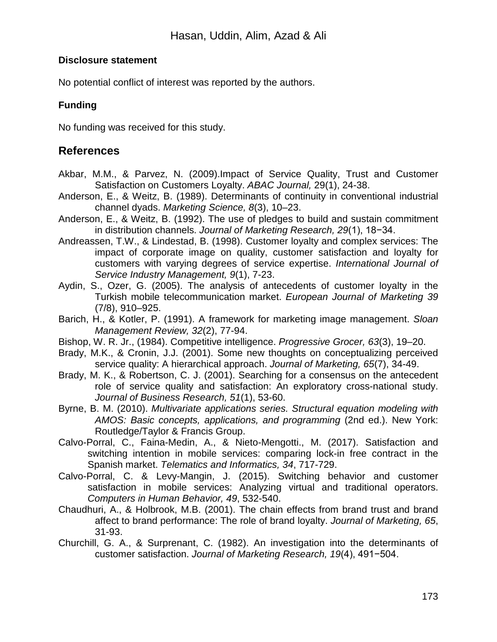#### **Disclosure statement**

No potential conflict of interest was reported by the authors.

### **Funding**

No funding was received for this study.

# **References**

- Akbar, M.M., & Parvez, N. (2009).Impact of Service Quality, Trust and Customer Satisfaction on Customers Loyalty. *ABAC Journal,* 29(1), 24-38.
- Anderson, E., & Weitz, B. (1989). Determinants of continuity in conventional industrial channel dyads. *Marketing Science, 8*(3), 10–23.
- Anderson, E., & Weitz, B. (1992). The use of pledges to build and sustain commitment in distribution channels. *Journal of Marketing Research, 29*(1), 18−34.
- Andreassen, T.W., & Lindestad, B. (1998). Customer loyalty and complex services: The impact of corporate image on quality, customer satisfaction and loyalty for customers with varying degrees of service expertise. *International Journal of Service Industry Management, 9*(1), 7-23.
- Aydin, S., Ozer, G. (2005). The analysis of antecedents of customer loyalty in the Turkish mobile telecommunication market. *European Journal of Marketing 39* (7/8), 910–925.
- Barich, H., & Kotler, P. (1991). A framework for marketing image management. *Sloan Management Review, 32*(2), 77-94.
- Bishop, W. R. Jr., (1984). Competitive intelligence. *Progressive Grocer, 63*(3), 19–20.
- Brady, M.K., & Cronin, J.J. (2001). Some new thoughts on conceptualizing perceived service quality: A hierarchical approach. *Journal of Marketing, 65*(7), 34-49.
- Brady, M. K., & Robertson, C. J. (2001). Searching for a consensus on the antecedent role of service quality and satisfaction: An exploratory cross-national study. *Journal of Business Research, 51*(1), 53-60.
- Byrne, B. M. (2010). *Multivariate applications series. Structural equation modeling with AMOS: Basic concepts, applications, and programming* (2nd ed.). New York: Routledge/Taylor & Francis Group.
- Calvo-Porral, C., Faina-Medin, A., & Nieto-Mengotti., M. (2017). Satisfaction and switching intention in mobile services: comparing lock-in free contract in the Spanish market. *Telematics and Informatics, 34*, 717-729.
- Calvo-Porral, C. & Levy-Mangin, J. (2015). Switching behavior and customer satisfaction in mobile services: Analyzing virtual and traditional operators. *Computers in Human Behavior, 49*, 532-540.
- Chaudhuri, A., & Holbrook, M.B. (2001). The chain effects from brand trust and brand affect to brand performance: The role of brand loyalty. *Journal of Marketing, 65*, 31-93.
- Churchill, G. A., & Surprenant, C. (1982). An investigation into the determinants of customer satisfaction. *Journal of Marketing Research, 19*(4), 491−504.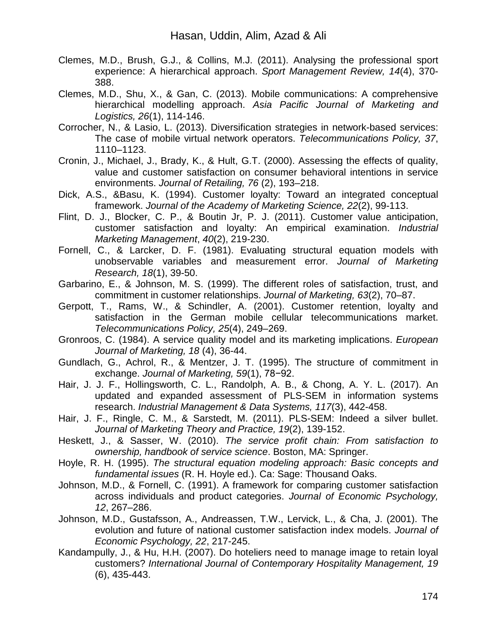- Clemes, M.D., Brush, G.J., & Collins, M.J. (2011). Analysing the professional sport experience: A hierarchical approach. *Sport Management Review, 14*(4), 370- 388.
- Clemes, M.D., Shu, X., & Gan, C. (2013). Mobile communications: A comprehensive hierarchical modelling approach. *Asia Pacific Journal of Marketing and Logistics, 26*(1), 114-146.
- Corrocher, N., & Lasio, L. (2013). Diversification strategies in network-based services: The case of mobile virtual network operators. *Telecommunications Policy, 37*, 1110–1123.
- Cronin, J., Michael, J., Brady, K., & Hult, G.T. (2000). Assessing the effects of quality, value and customer satisfaction on consumer behavioral intentions in service environments. *Journal of Retailing, 76* (2), 193–218.
- Dick, A.S., &Basu, K. (1994). Customer loyalty: Toward an integrated conceptual framework. *Journal of the Academy of Marketing Science, 22*(2), 99-113.
- Flint, D. J., Blocker, C. P., & Boutin Jr, P. J. (2011). Customer value anticipation, customer satisfaction and loyalty: An empirical examination. *Industrial Marketing Management*, *40*(2), 219-230.
- Fornell, C., & Larcker, D. F. (1981). Evaluating structural equation models with unobservable variables and measurement error. *Journal of Marketing Research, 18*(1), 39-50.
- Garbarino, E., & Johnson, M. S. (1999). The different roles of satisfaction, trust, and commitment in customer relationships. *Journal of Marketing, 63*(2), 70–87.
- Gerpott, T., Rams, W., & Schindler, A. (2001). Customer retention, loyalty and satisfaction in the German mobile cellular telecommunications market. *Telecommunications Policy, 25*(4), 249–269.
- Gronroos, C. (1984). A service quality model and its marketing implications. *European Journal of Marketing, 18* (4), 36-44.
- Gundlach, G., Achrol, R., & Mentzer, J. T. (1995). The structure of commitment in exchange. *Journal of Marketing, 59*(1), 78−92.
- Hair, J. J. F., Hollingsworth, C. L., Randolph, A. B., & Chong, A. Y. L. (2017). An updated and expanded assessment of PLS-SEM in information systems research. *Industrial Management & Data Systems, 117*(3), 442-458.
- Hair, J. F., Ringle, C. M., & Sarstedt, M. (2011). PLS-SEM: Indeed a silver bullet. *Journal of Marketing Theory and Practice, 19*(2), 139-152.
- Heskett, J., & Sasser, W. (2010). *The service profit chain: From satisfaction to ownership, handbook of service science*. Boston, MA: Springer.
- Hoyle, R. H. (1995). *The structural equation modeling approach: Basic concepts and fundamental issues* (R. H. Hoyle ed.). Ca: Sage: Thousand Oaks.
- Johnson, M.D., & Fornell, C. (1991). A framework for comparing customer satisfaction across individuals and product categories. *Journal of Economic Psychology, 12*, 267–286.
- Johnson, M.D., Gustafsson, A., Andreassen, T.W., Lervick, L., & Cha, J. (2001). The evolution and future of national customer satisfaction index models. *Journal of Economic Psychology, 22*, 217-245.
- Kandampully, J., & Hu, H.H. (2007). Do hoteliers need to manage image to retain loyal customers? *International Journal of Contemporary Hospitality Management, 19* (6), 435-443.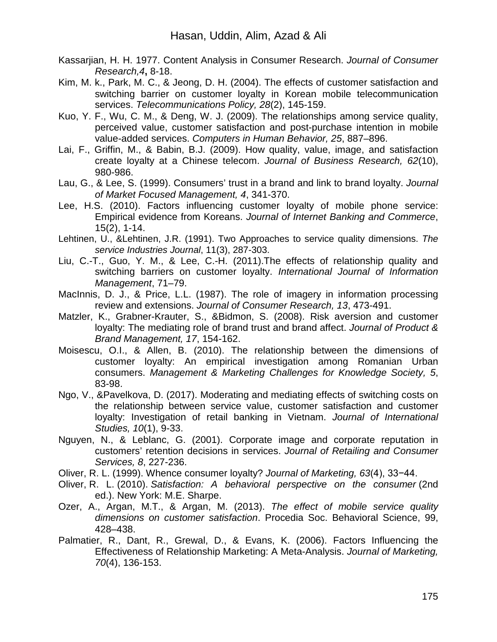- Kassarjian, H. H. 1977. Content Analysis in Consumer Research. *Journal of Consumer Research,4***,** 8-18.
- Kim, M. k., Park, M. C., & Jeong, D. H. (2004). The effects of customer satisfaction and switching barrier on customer loyalty in Korean mobile telecommunication services. *Telecommunications Policy, 28*(2), 145-159.
- Kuo, Y. F., Wu, C. M., & Deng, W. J. (2009). The relationships among service quality, perceived value, customer satisfaction and post-purchase intention in mobile value-added services. *Computers in Human Behavior, 25*, 887–896.
- Lai, F., Griffin, M., & Babin, B.J. (2009). How quality, value, image, and satisfaction create loyalty at a Chinese telecom. *Journal of Business Research, 62*(10), 980-986.
- Lau, G., & Lee, S. (1999). Consumers' trust in a brand and link to brand loyalty. *Journal of Market Focused Management, 4*, 341-370.
- Lee, H.S. (2010). Factors influencing customer loyalty of mobile phone service: Empirical evidence from Koreans. *Journal of Internet Banking and Commerce*, 15(2), 1-14.
- Lehtinen, U., &Lehtinen, J.R. (1991). Two Approaches to service quality dimensions. *The service Industries Journal*, 11(3), 287-303.
- Liu, C.-T., Guo, Y. M., & Lee, C.-H. (2011).The effects of relationship quality and switching barriers on customer loyalty. *International Journal of Information Management*, 71–79.
- MacInnis, D. J., & Price, L.L. (1987). The role of imagery in information processing review and extensions. *Journal of Consumer Research, 13*, 473-491.
- Matzler, K., Grabner-Krauter, S., &Bidmon, S. (2008). Risk aversion and customer loyalty: The mediating role of brand trust and brand affect. *Journal of Product & Brand Management, 17*, 154-162.
- Moisescu, O.I., & Allen, B. (2010). The relationship between the dimensions of customer loyalty: An empirical investigation among Romanian Urban consumers. *Management & Marketing Challenges for Knowledge Society, 5*, 83-98.
- Ngo, V., &Pavelkova, D. (2017). Moderating and mediating effects of switching costs on the relationship between service value, customer satisfaction and customer loyalty: Investigation of retail banking in Vietnam. *Journal of International Studies, 10*(1), 9-33.
- Nguyen, N., & Leblanc, G. (2001). Corporate image and corporate reputation in customers' retention decisions in services. *Journal of Retailing and Consumer Services, 8*, 227-236.
- Oliver, R. L. (1999). Whence consumer loyalty? *Journal of Marketing, 63*(4), 33−44.
- Oliver, R. L. (2010). *Satisfaction: A behavioral perspective on the consumer* (2nd ed.). New York: M.E. Sharpe.
- Ozer, A., Argan, M.T., & Argan, M. (2013). *The effect of mobile service quality dimensions on customer satisfaction*. Procedia Soc. Behavioral Science, 99, 428–438.
- Palmatier, R., Dant, R., Grewal, D., & Evans, K. (2006). Factors Influencing the Effectiveness of Relationship Marketing: A Meta-Analysis. *Journal of Marketing, 70*(4), 136-153.